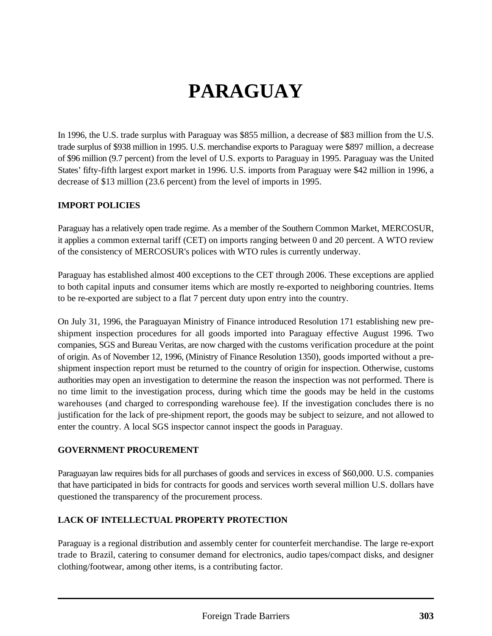# **PARAGUAY**

In 1996, the U.S. trade surplus with Paraguay was \$855 million, a decrease of \$83 million from the U.S. trade surplus of \$938 million in 1995. U.S. merchandise exports to Paraguay were \$897 million, a decrease of \$96 million (9.7 percent) from the level of U.S. exports to Paraguay in 1995. Paraguay was the United States' fifty-fifth largest export market in 1996. U.S. imports from Paraguay were \$42 million in 1996, a decrease of \$13 million (23.6 percent) from the level of imports in 1995.

#### **IMPORT POLICIES**

Paraguay has a relatively open trade regime. As a member of the Southern Common Market, MERCOSUR, it applies a common external tariff (CET) on imports ranging between 0 and 20 percent. A WTO review of the consistency of MERCOSUR's polices with WTO rules is currently underway.

Paraguay has established almost 400 exceptions to the CET through 2006. These exceptions are applied to both capital inputs and consumer items which are mostly re-exported to neighboring countries. Items to be re-exported are subject to a flat 7 percent duty upon entry into the country.

On July 31, 1996, the Paraguayan Ministry of Finance introduced Resolution 171 establishing new preshipment inspection procedures for all goods imported into Paraguay effective August 1996. Two companies, SGS and Bureau Veritas, are now charged with the customs verification procedure at the point of origin. As of November 12, 1996, (Ministry of Finance Resolution 1350), goods imported without a preshipment inspection report must be returned to the country of origin for inspection. Otherwise, customs authorities may open an investigation to determine the reason the inspection was not performed. There is no time limit to the investigation process, during which time the goods may be held in the customs warehouses (and charged to corresponding warehouse fee). If the investigation concludes there is no justification for the lack of pre-shipment report, the goods may be subject to seizure, and not allowed to enter the country. A local SGS inspector cannot inspect the goods in Paraguay.

#### **GOVERNMENT PROCUREMENT**

Paraguayan law requires bids for all purchases of goods and services in excess of \$60,000. U.S. companies that have participated in bids for contracts for goods and services worth several million U.S. dollars have questioned the transparency of the procurement process.

#### **LACK OF INTELLECTUAL PROPERTY PROTECTION**

Paraguay is a regional distribution and assembly center for counterfeit merchandise. The large re-export trade to Brazil, catering to consumer demand for electronics, audio tapes/compact disks, and designer clothing/footwear, among other items, is a contributing factor.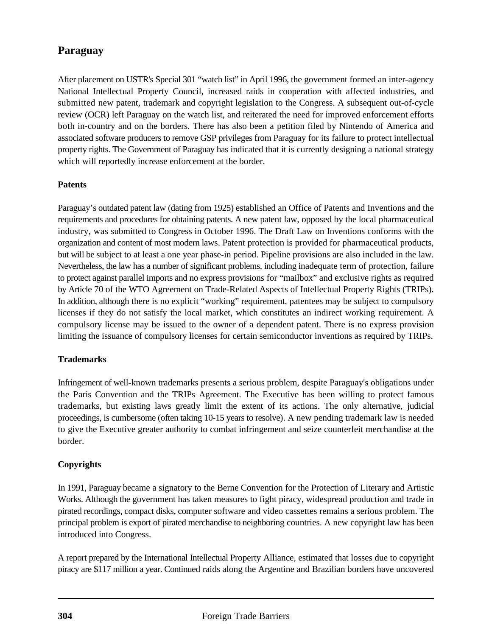### **Paraguay**

After placement on USTR's Special 301 "watch list" in April 1996, the government formed an inter-agency National Intellectual Property Council, increased raids in cooperation with affected industries, and submitted new patent, trademark and copyright legislation to the Congress. A subsequent out-of-cycle review (OCR) left Paraguay on the watch list, and reiterated the need for improved enforcement efforts both in-country and on the borders. There has also been a petition filed by Nintendo of America and associated software producers to remove GSP privileges from Paraguay for its failure to protect intellectual property rights. The Government of Paraguay has indicated that it is currently designing a national strategy which will reportedly increase enforcement at the border.

#### **Patents**

Paraguay's outdated patent law (dating from 1925) established an Office of Patents and Inventions and the requirements and procedures for obtaining patents. A new patent law, opposed by the local pharmaceutical industry, was submitted to Congress in October 1996. The Draft Law on Inventions conforms with the organization and content of most modern laws. Patent protection is provided for pharmaceutical products, but will be subject to at least a one year phase-in period. Pipeline provisions are also included in the law. Nevertheless, the law has a number of significant problems, including inadequate term of protection, failure to protect against parallel imports and no express provisions for "mailbox" and exclusive rights as required by Article 70 of the WTO Agreement on Trade-Related Aspects of Intellectual Property Rights (TRIPs). In addition, although there is no explicit "working" requirement, patentees may be subject to compulsory licenses if they do not satisfy the local market, which constitutes an indirect working requirement. A compulsory license may be issued to the owner of a dependent patent. There is no express provision limiting the issuance of compulsory licenses for certain semiconductor inventions as required by TRIPs.

#### **Trademarks**

Infringement of well-known trademarks presents a serious problem, despite Paraguay's obligations under the Paris Convention and the TRIPs Agreement. The Executive has been willing to protect famous trademarks, but existing laws greatly limit the extent of its actions. The only alternative, judicial proceedings, is cumbersome (often taking 10-15 years to resolve). A new pending trademark law is needed to give the Executive greater authority to combat infringement and seize counterfeit merchandise at the border.

#### **Copyrights**

In 1991, Paraguay became a signatory to the Berne Convention for the Protection of Literary and Artistic Works. Although the government has taken measures to fight piracy, widespread production and trade in pirated recordings, compact disks, computer software and video cassettes remains a serious problem. The principal problem is export of pirated merchandise to neighboring countries. A new copyright law has been introduced into Congress.

A report prepared by the International Intellectual Property Alliance, estimated that losses due to copyright piracy are \$117 million a year. Continued raids along the Argentine and Brazilian borders have uncovered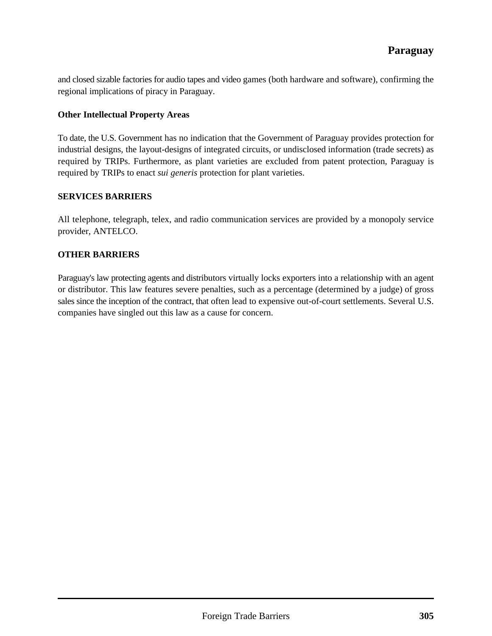and closed sizable factories for audio tapes and video games (both hardware and software), confirming the regional implications of piracy in Paraguay.

#### **Other Intellectual Property Areas**

To date, the U.S. Government has no indication that the Government of Paraguay provides protection for industrial designs, the layout-designs of integrated circuits, or undisclosed information (trade secrets) as required by TRIPs. Furthermore, as plant varieties are excluded from patent protection, Paraguay is required by TRIPs to enact *sui generis* protection for plant varieties.

#### **SERVICES BARRIERS**

All telephone, telegraph, telex, and radio communication services are provided by a monopoly service provider, ANTELCO.

#### **OTHER BARRIERS**

Paraguay's law protecting agents and distributors virtually locks exporters into a relationship with an agent or distributor. This law features severe penalties, such as a percentage (determined by a judge) of gross sales since the inception of the contract, that often lead to expensive out-of-court settlements. Several U.S. companies have singled out this law as a cause for concern.